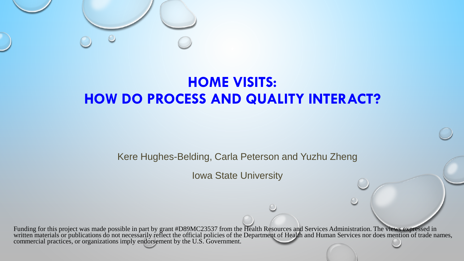

#### **HOME VISITS: HOW DO PROCESS AND QUALITY INTERACT?**

Kere Hughes-Belding, Carla Peterson and Yuzhu Zheng

Iowa State University

Funding for this project was made possible in part by grant #D89MC23537 from the Health Resources and Services Administration. The views expressed in<br>written materials or publications do not necessarily reflect the officia commercial practices, or organizations imply endorsement by the U.S. Government.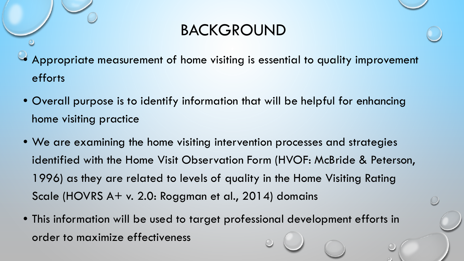### BACKGROUND

- Appropriate measurement of home visiting is essential to quality improvement efforts
- Overall purpose is to identify information that will be helpful for enhancing home visiting practice
- We are examining the home visiting intervention processes and strategies identified with the Home Visit Observation Form (HVOF: McBride & Peterson, 1996) as they are related to levels of quality in the Home Visiting Rating Scale (HOVRS A+ v. 2.0: Roggman et al., 2014) domains
- This information will be used to target professional development efforts in order to maximize effectiveness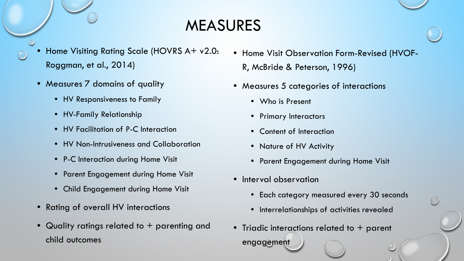## MEASURES

- Home Visiting Rating Scale (HOVRS A+ v2.0: Roggman, et al., 2014)
- Measures 7 domains of quality
	- HV Responsiveness to Family
	- HV-Family Relationship
	- HV Facilitation of P-C Interaction
	- HV Non-Intrusiveness and Collaboration
	- P-C Interaction during Home Visit
	- Parent Engagement during Home Visit
	- Child Engagement during Home Visit
- Rating of overall HV interactions
- Quality ratings related to  $+$  parenting and child outcomes
- Home Visit Observation Form-Revised (HVOF-R, McBride & Peterson, 1996)
- Measures 5 categories of interactions
	- Who is Present
	- Primary Interactors
	- Content of Interaction
	- Nature of HV Activity
	- Parent Engagement during Home Visit
- Interval observation
	- Each category measured every 30 seconds
	- Interrelationships of activities revealed
- Triadic interactions related to  $+$  parent engagement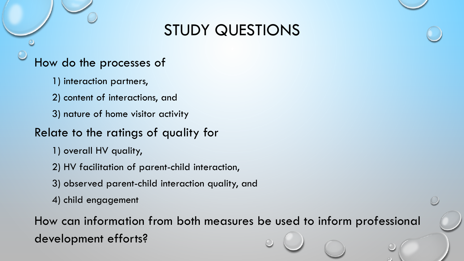# STUDY QUESTIONS

#### How do the processes of

- 1) interaction partners,
- 2) content of interactions, and
- 3) nature of home visitor activity

#### Relate to the ratings of quality for

- 1) overall HV quality,
- 2) HV facilitation of parent-child interaction,
- 3) observed parent-child interaction quality, and
- 4) child engagement

How can information from both measures be used to inform professional development efforts?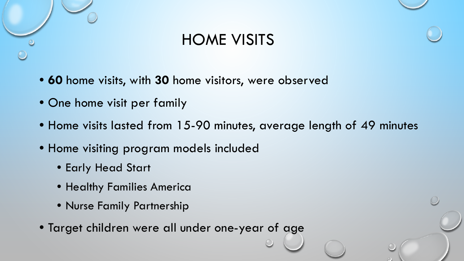

## HOME VISITS

- **60** home visits, with **30** home visitors, were observed
- One home visit per family
- Home visits lasted from 15-90 minutes, average length of 49 minutes
- Home visiting program models included
	- Early Head Start
	- Healthy Families America
	- Nurse Family Partnership
- Target children were all under one-year of age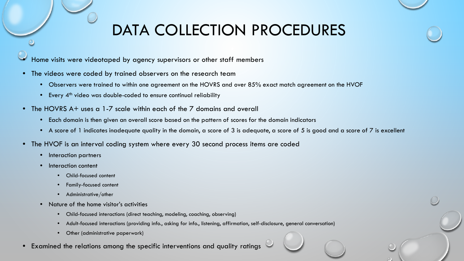# DATA COLLECTION PROCEDURES

- Home visits were videotaped by agency supervisors or other staff members
- The videos were coded by trained observers on the research team
	- Observers were trained to within one agreement on the HOVRS and over 85% exact match agreement on the HVOF
	- Every  $4<sup>th</sup>$  video was double-coded to ensure continual reliability
- The HOVRS A+ uses a 1-7 scale within each of the 7 domains and overall
	- Each domain is then given an overall score based on the pattern of scores for the domain indicators
	- A score of 1 indicates inadequate quality in the domain, a score of 3 is adequate, a score of 5 is good and a score of 7 is excellent
- The HVOF is an interval coding system where every 30 second process items are coded
	- Interaction partners
	- Interaction content
		- Child-focused content
		- Family-focused content
		- Administrative/other
	- Nature of the home visitor's activities
		- Child-focused interactions (direct teaching, modeling, coaching, observing)
		- Adult-focused interactions (providing info., asking for info., listening, affirmation, self-disclosure, general conversation)
		- Other (administrative paperwork)
- Examined the relations among the specific interventions and quality ratings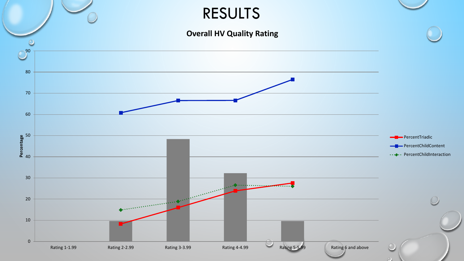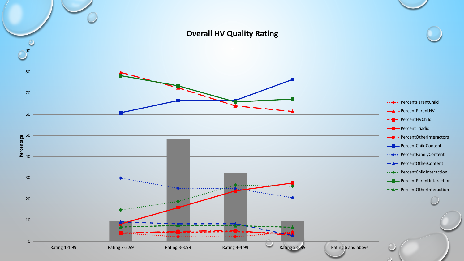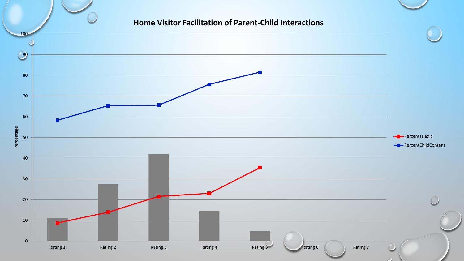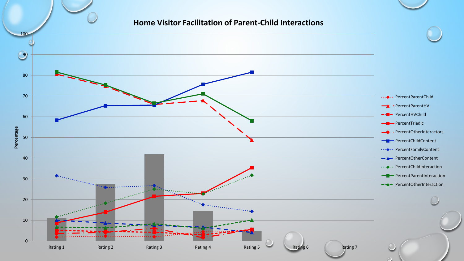#### **Home Visitor Facilitation of Parent-Child Interactions**

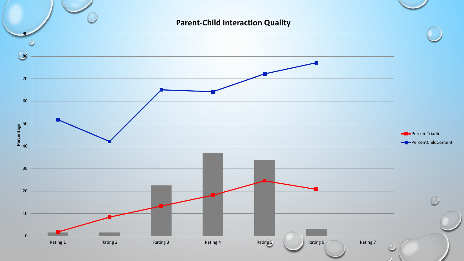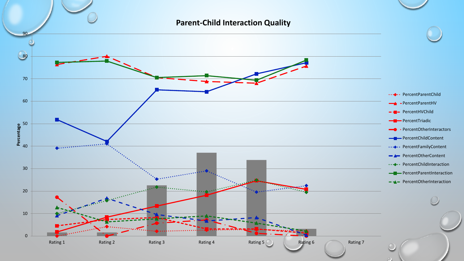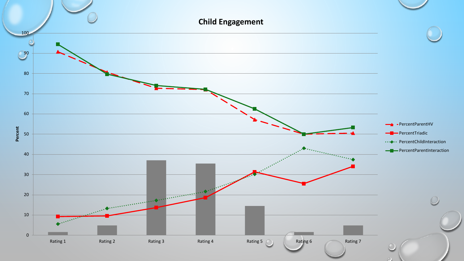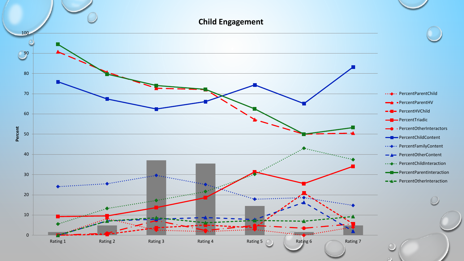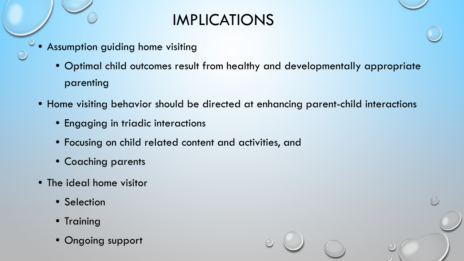# IMPLICATIONS

- Assumption guiding home visiting
	- Optimal child outcomes result from healthy and developmentally appropriate parenting
- Home visiting behavior should be directed at enhancing parent-child interactions
	- Engaging in triadic interactions
	- Focusing on child related content and activities, and
	- Coaching parents
- The ideal home visitor
	- Selection
	- Training
	- Ongoing support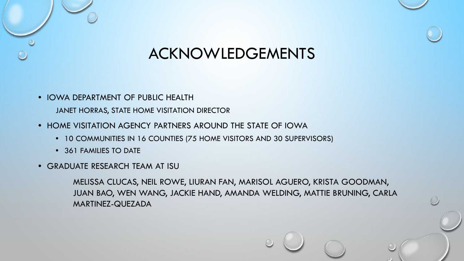

# ACKNOWLEDGEMENTS

• IOWA DEPARTMENT OF PUBLIC HEALTH

JANET HORRAS, STATE HOME VISITATION DIRECTOR

- HOME VISITATION AGENCY PARTNERS AROUND THE STATE OF IOWA
	- 10 COMMUNITIES IN 16 COUNTIES (75 HOME VISITORS AND 30 SUPERVISORS)
	- 361 FAMILIES TO DATE
- GRADUATE RESEARCH TEAM AT ISU

MELISSA CLUCAS, NEIL ROWE, LIURAN FAN, MARISOL AGUERO, KRISTA GOODMAN, JUAN BAO, WEN WANG, JACKIE HAND, AMANDA WELDING, MATTIE BRUNING, CARLA MARTINEZ-QUEZADA